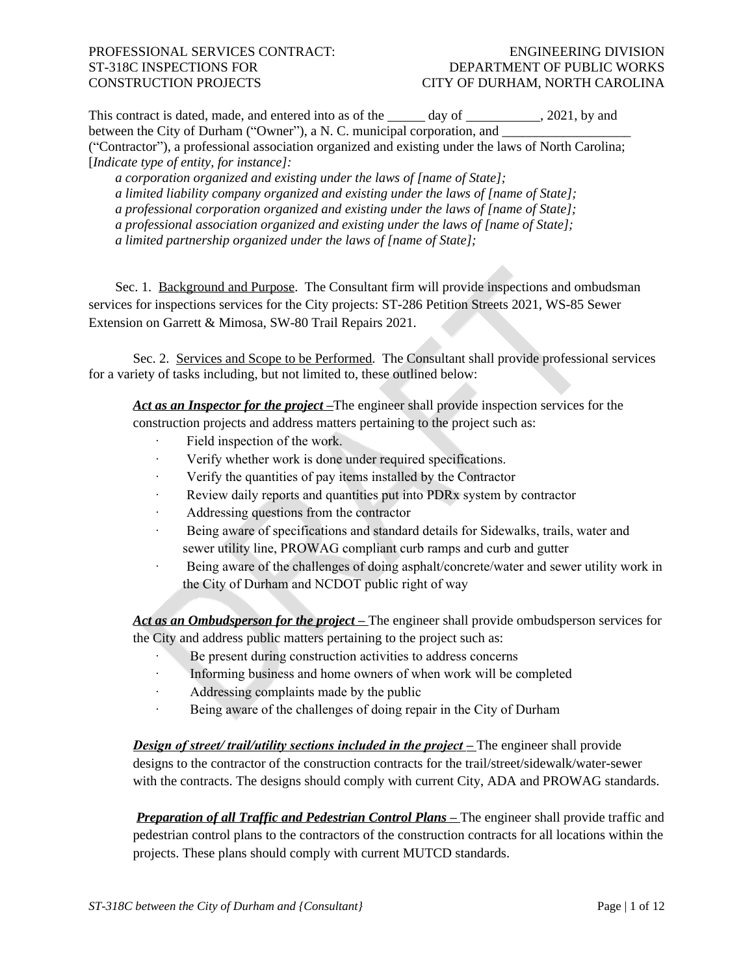This contract is dated, made, and entered into as of the  $\_\_\_\_$  day of  $\_\_\_\_\_$ , 2021, by and between the City of Durham ("Owner"), a N. C. municipal corporation, and ("Contractor"), a professional association organized and existing under the laws of North Carolina; [*Indicate type of entity, for instance]:*

*a corporation organized and existing under the laws of [name of State]; a limited liability company organized and existing under the laws of [name of State]; a professional corporation organized and existing under the laws of [name of State]; a professional association organized and existing under the laws of [name of State]; a limited partnership organized under the laws of [name of State];*

Sec. 1. Background and Purpose. The Consultant firm will provide inspections and ombudsman services for inspections services for the City projects: ST-286 Petition Streets 2021, WS-85 Sewer Extension on Garrett & Mimosa, SW-80 Trail Repairs 2021.

Sec. 2. Services and Scope to be Performed. The Consultant shall provide professional services for a variety of tasks including, but not limited to, these outlined below:

Act as an Inspector for the project –The engineer shall provide inspection services for the construction projects and address matters pertaining to the project such as:

- Field inspection of the work.
- · Verify whether work is done under required specifications.
- · Verify the quantities of pay items installed by the Contractor
- · Review daily reports and quantities put into PDRx system by contractor
- · Addressing questions from the contractor
- · Being aware of specifications and standard details for Sidewalks, trails, water and sewer utility line, PROWAG compliant curb ramps and curb and gutter
- · Being aware of the challenges of doing asphalt/concrete/water and sewer utility work in the City of Durham and NCDOT public right of way

Act as an *Ombudsperson for the project* – The engineer shall provide ombudsperson services for the City and address public matters pertaining to the project such as:

- Be present during construction activities to address concerns
- · Informing business and home owners of when work will be completed
- · Addressing complaints made by the public
- · Being aware of the challenges of doing repair in the City of Durham

*Design of street/ trail/utility sections included in the project* **– The engineer shall provide** designs to the contractor of the construction contracts for the trail/street/sidewalk/water-sewer with the contracts. The designs should comply with current City, ADA and PROWAG standards.

*Preparation of all Traffic and Pedestrian Control Plans –* The engineer shall provide traffic and pedestrian control plans to the contractors of the construction contracts for all locations within the projects. These plans should comply with current MUTCD standards.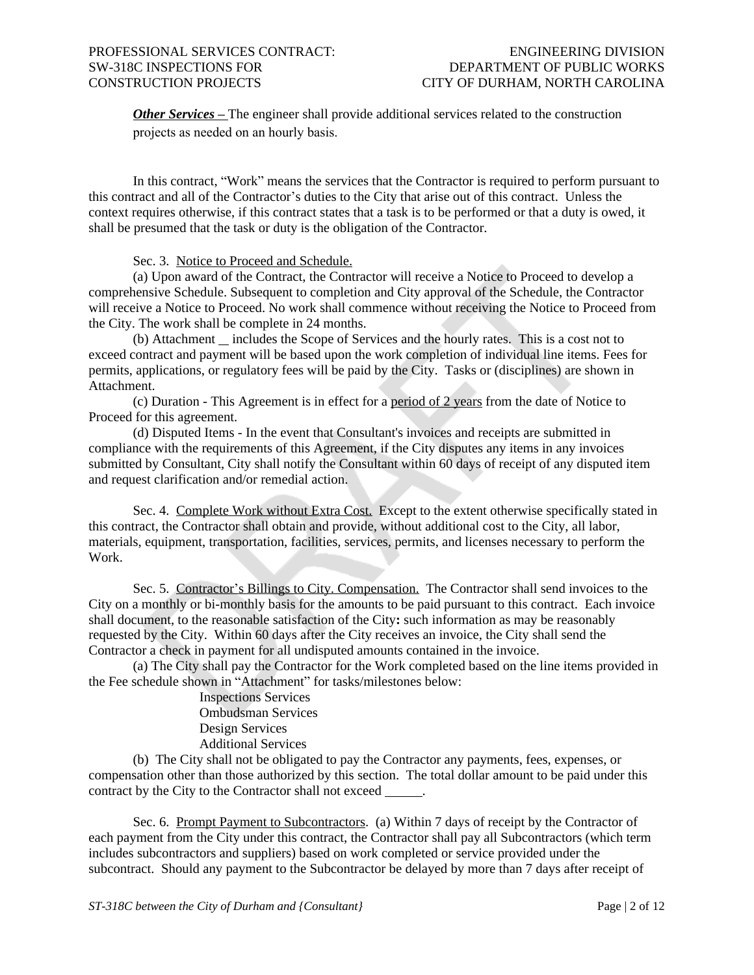**Other Services –** The engineer shall provide additional services related to the construction projects as needed on an hourly basis.

In this contract, "Work" means the services that the Contractor is required to perform pursuant to this contract and all of the Contractor's duties to the City that arise out of this contract. Unless the context requires otherwise, if this contract states that a task is to be performed or that a duty is owed, it shall be presumed that the task or duty is the obligation of the Contractor.

Sec. 3. Notice to Proceed and Schedule.

(a) Upon award of the Contract, the Contractor will receive a Notice to Proceed to develop a comprehensive Schedule. Subsequent to completion and City approval of the Schedule, the Contractor will receive a Notice to Proceed. No work shall commence without receiving the Notice to Proceed from the City. The work shall be complete in 24 months.

 $(b)$  Attachment  $\equiv$  includes the Scope of Services and the hourly rates. This is a cost not to exceed contract and payment will be based upon the work completion of individual line items. Fees for permits, applications, or regulatory fees will be paid by the City. Tasks or (disciplines) are shown in Attachment.

(c) Duration - This Agreement is in effect for a period of 2 years from the date of Notice to Proceed for this agreement.

(d) Disputed Items - In the event that Consultant's invoices and receipts are submitted in compliance with the requirements of this Agreement, if the City disputes any items in any invoices submitted by Consultant, City shall notify the Consultant within 60 days of receipt of any disputed item and request clarification and/or remedial action.

Sec. 4. Complete Work without Extra Cost. Except to the extent otherwise specifically stated in this contract, the Contractor shall obtain and provide, without additional cost to the City, all labor, materials, equipment, transportation, facilities, services, permits, and licenses necessary to perform the Work.

Sec. 5. Contractor's Billings to City. Compensation. The Contractor shall send invoices to the City on a monthly or bi-monthly basis for the amounts to be paid pursuant to this contract. Each invoice shall document, to the reasonable satisfaction of the City**:** such information as may be reasonably requested by the City. Within 60 days after the City receives an invoice, the City shall send the Contractor a check in payment for all undisputed amounts contained in the invoice.

(a) The City shall pay the Contractor for the Work completed based on the line items provided in the Fee schedule shown in "Attachment" for tasks/milestones below:

Inspections Services Ombudsman Services Design Services Additional Services

(b) The City shall not be obligated to pay the Contractor any payments, fees, expenses, or compensation other than those authorized by this section. The total dollar amount to be paid under this contract by the City to the Contractor shall not exceed .

Sec. 6. Prompt Payment to Subcontractors. (a) Within 7 days of receipt by the Contractor of each payment from the City under this contract, the Contractor shall pay all Subcontractors (which term includes subcontractors and suppliers) based on work completed or service provided under the subcontract. Should any payment to the Subcontractor be delayed by more than 7 days after receipt of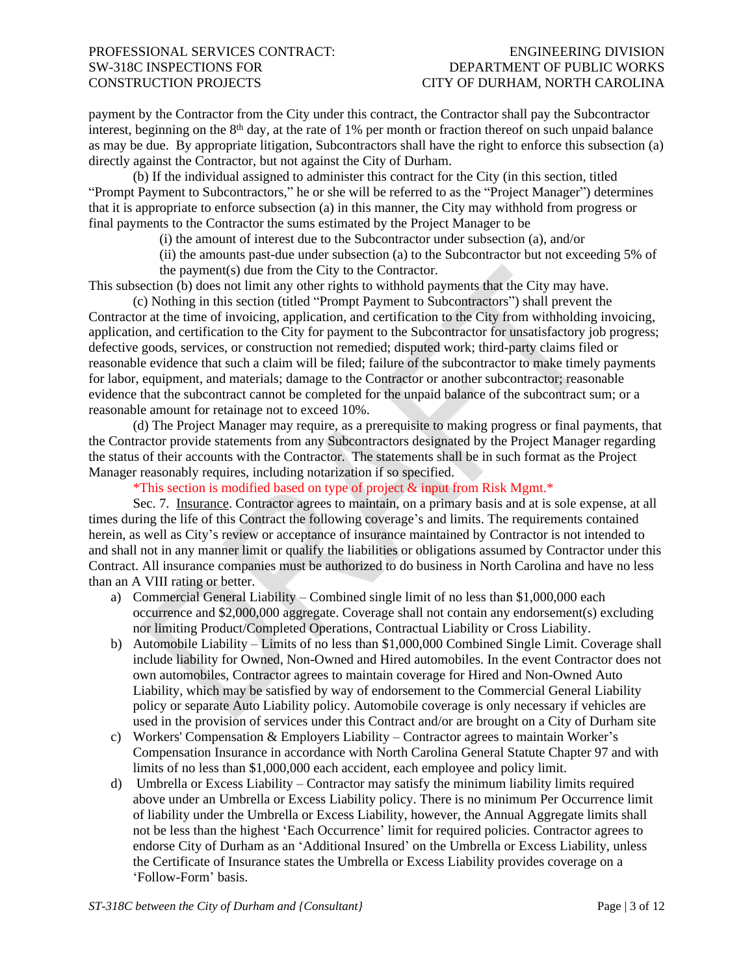payment by the Contractor from the City under this contract, the Contractor shall pay the Subcontractor interest, beginning on the  $8<sup>th</sup>$  day, at the rate of 1% per month or fraction thereof on such unpaid balance as may be due. By appropriate litigation, Subcontractors shall have the right to enforce this subsection (a) directly against the Contractor, but not against the City of Durham.

(b) If the individual assigned to administer this contract for the City (in this section, titled "Prompt Payment to Subcontractors," he or she will be referred to as the "Project Manager") determines that it is appropriate to enforce subsection (a) in this manner, the City may withhold from progress or final payments to the Contractor the sums estimated by the Project Manager to be

(i) the amount of interest due to the Subcontractor under subsection (a), and/or

(ii) the amounts past-due under subsection (a) to the Subcontractor but not exceeding 5% of the payment(s) due from the City to the Contractor.

This subsection (b) does not limit any other rights to withhold payments that the City may have. (c) Nothing in this section (titled "Prompt Payment to Subcontractors") shall prevent the

Contractor at the time of invoicing, application, and certification to the City from withholding invoicing, application, and certification to the City for payment to the Subcontractor for unsatisfactory job progress; defective goods, services, or construction not remedied; disputed work; third-party claims filed or reasonable evidence that such a claim will be filed; failure of the subcontractor to make timely payments for labor, equipment, and materials; damage to the Contractor or another subcontractor; reasonable evidence that the subcontract cannot be completed for the unpaid balance of the subcontract sum; or a reasonable amount for retainage not to exceed 10%.

(d) The Project Manager may require, as a prerequisite to making progress or final payments, that the Contractor provide statements from any Subcontractors designated by the Project Manager regarding the status of their accounts with the Contractor. The statements shall be in such format as the Project Manager reasonably requires, including notarization if so specified.

\*This section is modified based on type of project & input from Risk Mgmt.\*

Sec. 7. Insurance. Contractor agrees to maintain, on a primary basis and at is sole expense, at all times during the life of this Contract the following coverage's and limits. The requirements contained herein, as well as City's review or acceptance of insurance maintained by Contractor is not intended to and shall not in any manner limit or qualify the liabilities or obligations assumed by Contractor under this Contract. All insurance companies must be authorized to do business in North Carolina and have no less than an A VIII rating or better.

- a) Commercial General Liability Combined single limit of no less than \$1,000,000 each occurrence and \$2,000,000 aggregate. Coverage shall not contain any endorsement(s) excluding nor limiting Product/Completed Operations, Contractual Liability or Cross Liability.
- b) Automobile Liability Limits of no less than \$1,000,000 Combined Single Limit. Coverage shall include liability for Owned, Non-Owned and Hired automobiles. In the event Contractor does not own automobiles, Contractor agrees to maintain coverage for Hired and Non-Owned Auto Liability, which may be satisfied by way of endorsement to the Commercial General Liability policy or separate Auto Liability policy. Automobile coverage is only necessary if vehicles are used in the provision of services under this Contract and/or are brought on a City of Durham site
- c) Workers' Compensation & Employers Liability Contractor agrees to maintain Worker's Compensation Insurance in accordance with North Carolina General Statute Chapter 97 and with limits of no less than \$1,000,000 each accident, each employee and policy limit.
- d) Umbrella or Excess Liability Contractor may satisfy the minimum liability limits required above under an Umbrella or Excess Liability policy. There is no minimum Per Occurrence limit of liability under the Umbrella or Excess Liability, however, the Annual Aggregate limits shall not be less than the highest 'Each Occurrence' limit for required policies. Contractor agrees to endorse City of Durham as an 'Additional Insured' on the Umbrella or Excess Liability, unless the Certificate of Insurance states the Umbrella or Excess Liability provides coverage on a 'Follow-Form' basis.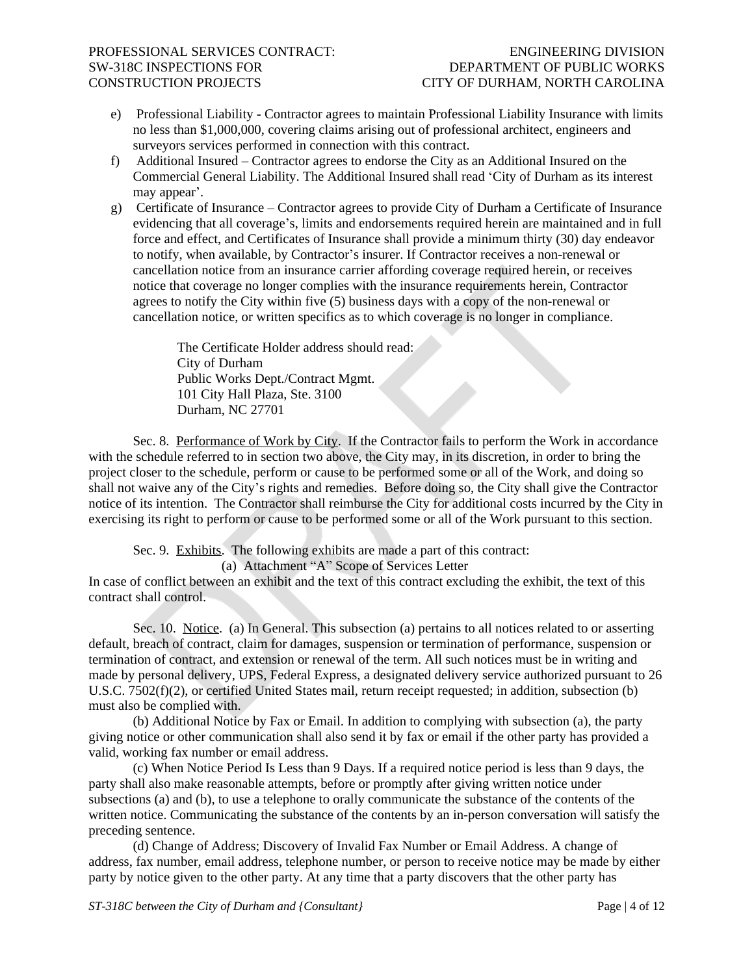- e) Professional Liability Contractor agrees to maintain Professional Liability Insurance with limits no less than \$1,000,000, covering claims arising out of professional architect, engineers and surveyors services performed in connection with this contract.
- f) Additional Insured Contractor agrees to endorse the City as an Additional Insured on the Commercial General Liability. The Additional Insured shall read 'City of Durham as its interest may appear'.
- g) Certificate of Insurance Contractor agrees to provide City of Durham a Certificate of Insurance evidencing that all coverage's, limits and endorsements required herein are maintained and in full force and effect, and Certificates of Insurance shall provide a minimum thirty (30) day endeavor to notify, when available, by Contractor's insurer. If Contractor receives a non-renewal or cancellation notice from an insurance carrier affording coverage required herein, or receives notice that coverage no longer complies with the insurance requirements herein, Contractor agrees to notify the City within five (5) business days with a copy of the non-renewal or cancellation notice, or written specifics as to which coverage is no longer in compliance.

The Certificate Holder address should read: City of Durham Public Works Dept./Contract Mgmt. 101 City Hall Plaza, Ste. 3100 Durham, NC 27701

Sec. 8. Performance of Work by City. If the Contractor fails to perform the Work in accordance with the schedule referred to in section two above, the City may, in its discretion, in order to bring the project closer to the schedule, perform or cause to be performed some or all of the Work, and doing so shall not waive any of the City's rights and remedies. Before doing so, the City shall give the Contractor notice of its intention. The Contractor shall reimburse the City for additional costs incurred by the City in exercising its right to perform or cause to be performed some or all of the Work pursuant to this section.

Sec. 9. Exhibits. The following exhibits are made a part of this contract:

(a) Attachment "A" Scope of Services Letter

In case of conflict between an exhibit and the text of this contract excluding the exhibit, the text of this contract shall control.

Sec. 10. Notice. (a) In General. This subsection (a) pertains to all notices related to or asserting default, breach of contract, claim for damages, suspension or termination of performance, suspension or termination of contract, and extension or renewal of the term. All such notices must be in writing and made by personal delivery, UPS, Federal Express, a designated delivery service authorized pursuant to 26 U.S.C. 7502(f)(2), or certified United States mail, return receipt requested; in addition, subsection (b) must also be complied with.

(b) Additional Notice by Fax or Email. In addition to complying with subsection (a), the party giving notice or other communication shall also send it by fax or email if the other party has provided a valid, working fax number or email address.

(c) When Notice Period Is Less than 9 Days. If a required notice period is less than 9 days, the party shall also make reasonable attempts, before or promptly after giving written notice under subsections (a) and (b), to use a telephone to orally communicate the substance of the contents of the written notice. Communicating the substance of the contents by an in-person conversation will satisfy the preceding sentence.

(d) Change of Address; Discovery of Invalid Fax Number or Email Address. A change of address, fax number, email address, telephone number, or person to receive notice may be made by either party by notice given to the other party. At any time that a party discovers that the other party has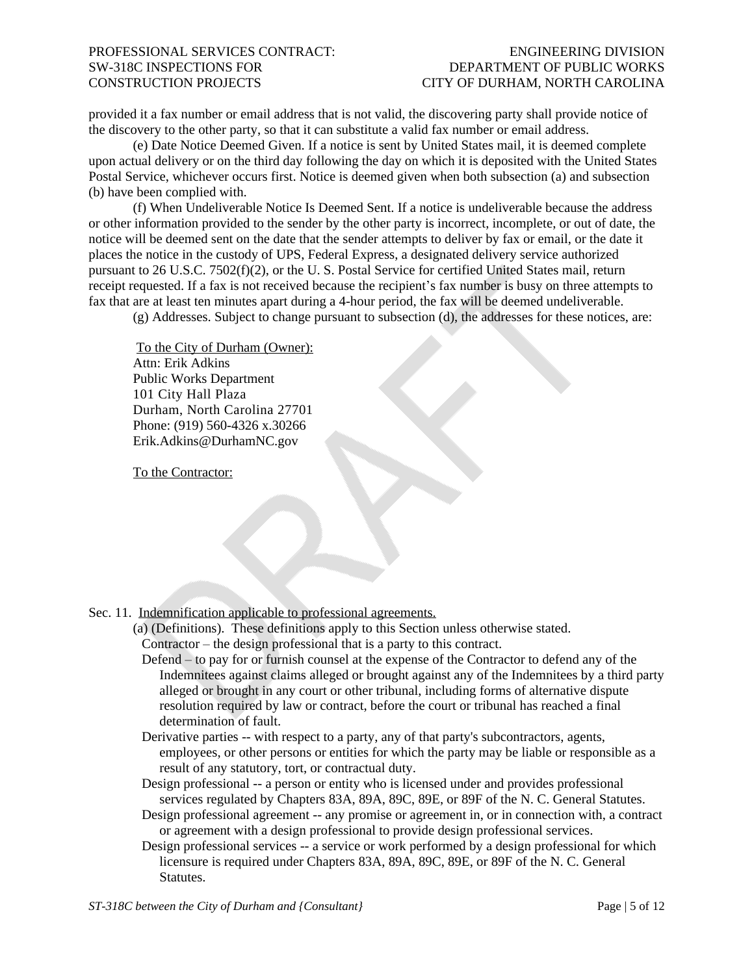provided it a fax number or email address that is not valid, the discovering party shall provide notice of the discovery to the other party, so that it can substitute a valid fax number or email address.

(e) Date Notice Deemed Given. If a notice is sent by United States mail, it is deemed complete upon actual delivery or on the third day following the day on which it is deposited with the United States Postal Service, whichever occurs first. Notice is deemed given when both subsection (a) and subsection (b) have been complied with.

(f) When Undeliverable Notice Is Deemed Sent. If a notice is undeliverable because the address or other information provided to the sender by the other party is incorrect, incomplete, or out of date, the notice will be deemed sent on the date that the sender attempts to deliver by fax or email, or the date it places the notice in the custody of UPS, Federal Express, a designated delivery service authorized pursuant to 26 U.S.C. 7502(f)(2), or the U. S. Postal Service for certified United States mail, return receipt requested. If a fax is not received because the recipient's fax number is busy on three attempts to fax that are at least ten minutes apart during a 4-hour period, the fax will be deemed undeliverable.

(g) Addresses. Subject to change pursuant to subsection (d), the addresses for these notices, are:

To the City of Durham (Owner): Attn: Erik Adkins Public Works Department 101 City Hall Plaza Durham, North Carolina 27701 Phone: (919) 560-4326 x.30266 Erik.Adkins@DurhamNC.gov

To the Contractor:

Sec. 11. Indemnification applicable to professional agreements.

- (a) (Definitions). These definitions apply to this Section unless otherwise stated. Contractor – the design professional that is a party to this contract.
	- Defend to pay for or furnish counsel at the expense of the Contractor to defend any of the Indemnitees against claims alleged or brought against any of the Indemnitees by a third party alleged or brought in any court or other tribunal, including forms of alternative dispute resolution required by law or contract, before the court or tribunal has reached a final determination of fault.
	- Derivative parties -- with respect to a party, any of that party's subcontractors, agents, employees, or other persons or entities for which the party may be liable or responsible as a result of any statutory, tort, or contractual duty.
	- Design professional -- a person or entity who is licensed under and provides professional services regulated by Chapters 83A, 89A, 89C, 89E, or 89F of the N. C. General Statutes.
	- Design professional agreement -- any promise or agreement in, or in connection with, a contract or agreement with a design professional to provide design professional services.
	- Design professional services -- a service or work performed by a design professional for which licensure is required under Chapters 83A, 89A, 89C, 89E, or 89F of the N. C. General Statutes.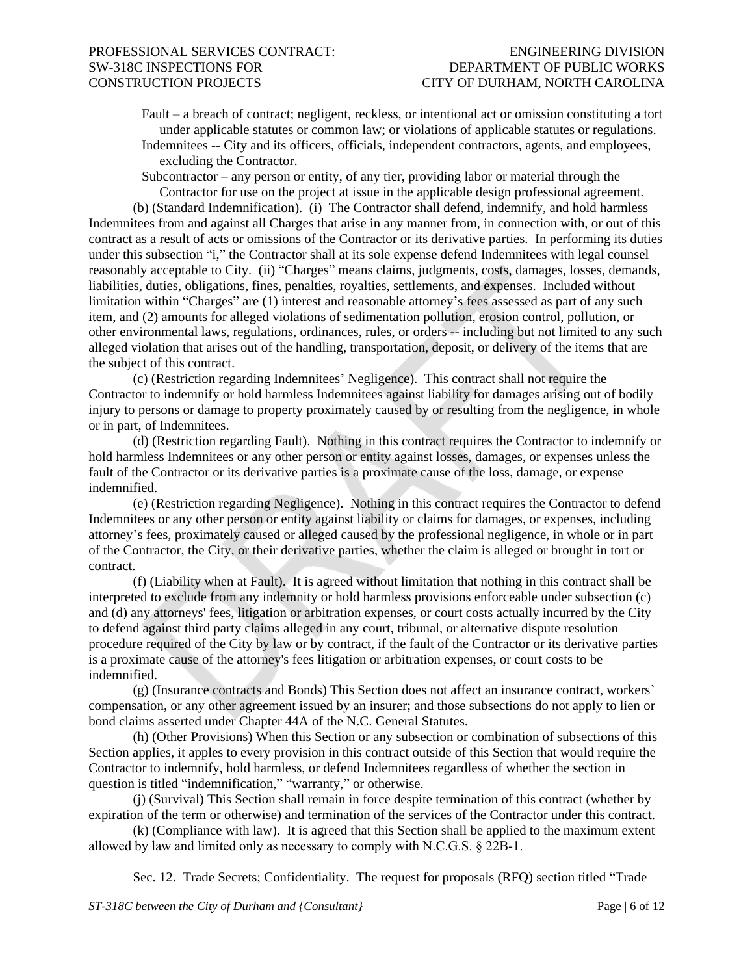Fault – a breach of contract; negligent, reckless, or intentional act or omission constituting a tort under applicable statutes or common law; or violations of applicable statutes or regulations. Indemnitees -- City and its officers, officials, independent contractors, agents, and employees,

excluding the Contractor.

Subcontractor – any person or entity, of any tier, providing labor or material through the Contractor for use on the project at issue in the applicable design professional agreement.

(b) (Standard Indemnification). (i) The Contractor shall defend, indemnify, and hold harmless Indemnitees from and against all Charges that arise in any manner from, in connection with, or out of this contract as a result of acts or omissions of the Contractor or its derivative parties. In performing its duties under this subsection "i," the Contractor shall at its sole expense defend Indemnitees with legal counsel reasonably acceptable to City. (ii) "Charges" means claims, judgments, costs, damages, losses, demands, liabilities, duties, obligations, fines, penalties, royalties, settlements, and expenses. Included without limitation within "Charges" are (1) interest and reasonable attorney's fees assessed as part of any such item, and (2) amounts for alleged violations of sedimentation pollution, erosion control, pollution, or other environmental laws, regulations, ordinances, rules, or orders -- including but not limited to any such alleged violation that arises out of the handling, transportation, deposit, or delivery of the items that are the subject of this contract.

(c) (Restriction regarding Indemnitees' Negligence). This contract shall not require the Contractor to indemnify or hold harmless Indemnitees against liability for damages arising out of bodily injury to persons or damage to property proximately caused by or resulting from the negligence, in whole or in part, of Indemnitees.

(d) (Restriction regarding Fault). Nothing in this contract requires the Contractor to indemnify or hold harmless Indemnitees or any other person or entity against losses, damages, or expenses unless the fault of the Contractor or its derivative parties is a proximate cause of the loss, damage, or expense indemnified.

(e) (Restriction regarding Negligence). Nothing in this contract requires the Contractor to defend Indemnitees or any other person or entity against liability or claims for damages, or expenses, including attorney's fees, proximately caused or alleged caused by the professional negligence, in whole or in part of the Contractor, the City, or their derivative parties, whether the claim is alleged or brought in tort or contract.

(f) (Liability when at Fault). It is agreed without limitation that nothing in this contract shall be interpreted to exclude from any indemnity or hold harmless provisions enforceable under subsection (c) and (d) any attorneys' fees, litigation or arbitration expenses, or court costs actually incurred by the City to defend against third party claims alleged in any court, tribunal, or alternative dispute resolution procedure required of the City by law or by contract, if the fault of the Contractor or its derivative parties is a proximate cause of the attorney's fees litigation or arbitration expenses, or court costs to be indemnified.

(g) (Insurance contracts and Bonds) This Section does not affect an insurance contract, workers' compensation, or any other agreement issued by an insurer; and those subsections do not apply to lien or bond claims asserted under Chapter 44A of the N.C. General Statutes.

(h) (Other Provisions) When this Section or any subsection or combination of subsections of this Section applies, it apples to every provision in this contract outside of this Section that would require the Contractor to indemnify, hold harmless, or defend Indemnitees regardless of whether the section in question is titled "indemnification," "warranty," or otherwise.

(j) (Survival) This Section shall remain in force despite termination of this contract (whether by expiration of the term or otherwise) and termination of the services of the Contractor under this contract.

(k) (Compliance with law). It is agreed that this Section shall be applied to the maximum extent allowed by law and limited only as necessary to comply with N.C.G.S. § 22B-1.

Sec. 12. Trade Secrets; Confidentiality. The request for proposals (RFQ) section titled "Trade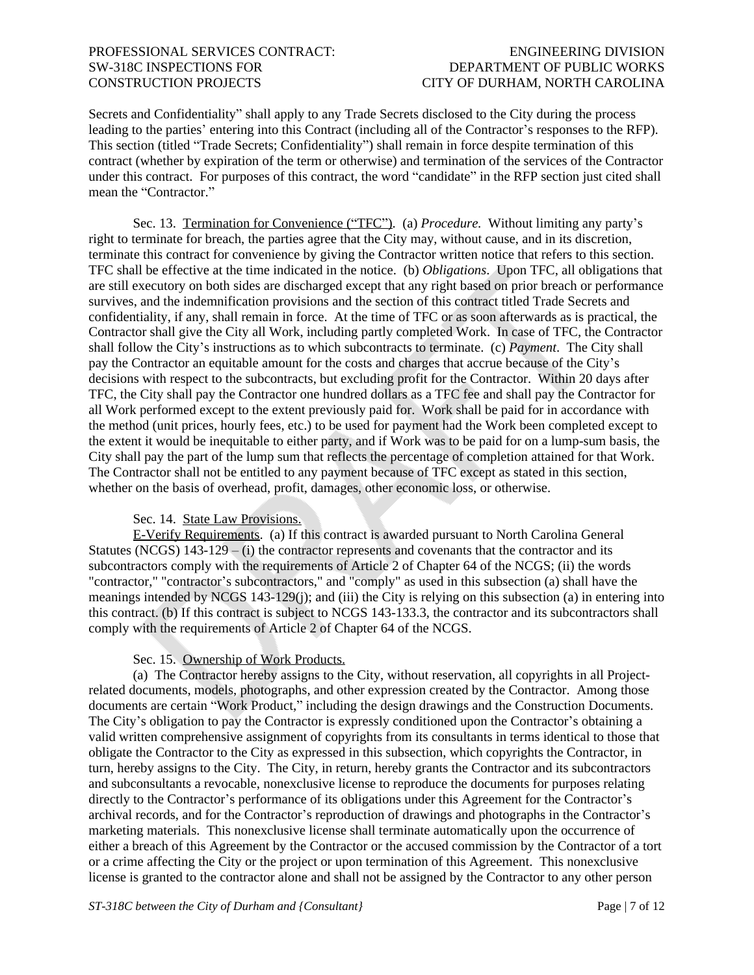Secrets and Confidentiality" shall apply to any Trade Secrets disclosed to the City during the process leading to the parties' entering into this Contract (including all of the Contractor's responses to the RFP). This section (titled "Trade Secrets; Confidentiality") shall remain in force despite termination of this contract (whether by expiration of the term or otherwise) and termination of the services of the Contractor under this contract. For purposes of this contract, the word "candidate" in the RFP section just cited shall mean the "Contractor."

Sec. 13. Termination for Convenience ("TFC"). (a) *Procedure.* Without limiting any party's right to terminate for breach, the parties agree that the City may, without cause, and in its discretion, terminate this contract for convenience by giving the Contractor written notice that refers to this section. TFC shall be effective at the time indicated in the notice. (b) *Obligations*. Upon TFC, all obligations that are still executory on both sides are discharged except that any right based on prior breach or performance survives, and the indemnification provisions and the section of this contract titled Trade Secrets and confidentiality, if any, shall remain in force. At the time of TFC or as soon afterwards as is practical, the Contractor shall give the City all Work, including partly completed Work. In case of TFC, the Contractor shall follow the City's instructions as to which subcontracts to terminate. (c) *Payment*. The City shall pay the Contractor an equitable amount for the costs and charges that accrue because of the City's decisions with respect to the subcontracts, but excluding profit for the Contractor. Within 20 days after TFC, the City shall pay the Contractor one hundred dollars as a TFC fee and shall pay the Contractor for all Work performed except to the extent previously paid for. Work shall be paid for in accordance with the method (unit prices, hourly fees, etc.) to be used for payment had the Work been completed except to the extent it would be inequitable to either party, and if Work was to be paid for on a lump-sum basis, the City shall pay the part of the lump sum that reflects the percentage of completion attained for that Work. The Contractor shall not be entitled to any payment because of TFC except as stated in this section, whether on the basis of overhead, profit, damages, other economic loss, or otherwise.

### Sec. 14. State Law Provisions.

E-Verify Requirements. (a) If this contract is awarded pursuant to North Carolina General Statutes (NCGS)  $143-129 - (i)$  the contractor represents and covenants that the contractor and its subcontractors comply with the requirements of Article 2 of Chapter 64 of the NCGS; (ii) the words "contractor," "contractor's subcontractors," and "comply" as used in this subsection (a) shall have the meanings intended by NCGS 143-129(j); and (iii) the City is relying on this subsection (a) in entering into this contract. (b) If this contract is subject to NCGS 143-133.3, the contractor and its subcontractors shall comply with the requirements of Article 2 of Chapter 64 of the NCGS.

### Sec. 15. Ownership of Work Products.

(a) The Contractor hereby assigns to the City, without reservation, all copyrights in all Projectrelated documents, models, photographs, and other expression created by the Contractor. Among those documents are certain "Work Product," including the design drawings and the Construction Documents. The City's obligation to pay the Contractor is expressly conditioned upon the Contractor's obtaining a valid written comprehensive assignment of copyrights from its consultants in terms identical to those that obligate the Contractor to the City as expressed in this subsection, which copyrights the Contractor, in turn, hereby assigns to the City. The City, in return, hereby grants the Contractor and its subcontractors and subconsultants a revocable, nonexclusive license to reproduce the documents for purposes relating directly to the Contractor's performance of its obligations under this Agreement for the Contractor's archival records, and for the Contractor's reproduction of drawings and photographs in the Contractor's marketing materials. This nonexclusive license shall terminate automatically upon the occurrence of either a breach of this Agreement by the Contractor or the accused commission by the Contractor of a tort or a crime affecting the City or the project or upon termination of this Agreement. This nonexclusive license is granted to the contractor alone and shall not be assigned by the Contractor to any other person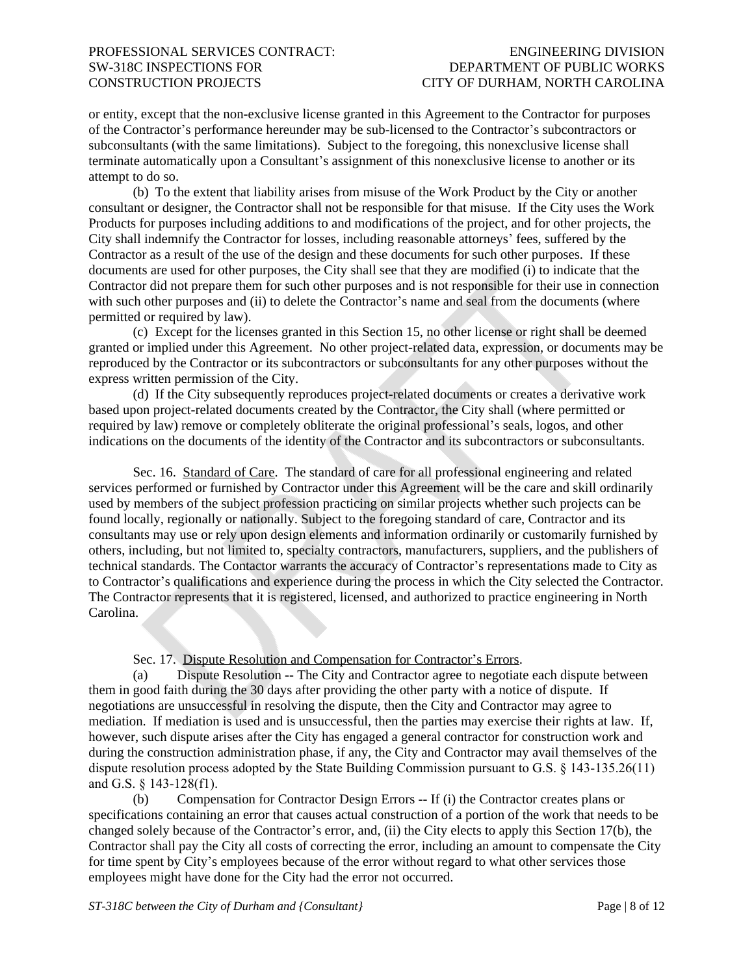or entity, except that the non-exclusive license granted in this Agreement to the Contractor for purposes of the Contractor's performance hereunder may be sub-licensed to the Contractor's subcontractors or subconsultants (with the same limitations). Subject to the foregoing, this nonexclusive license shall terminate automatically upon a Consultant's assignment of this nonexclusive license to another or its attempt to do so.

(b) To the extent that liability arises from misuse of the Work Product by the City or another consultant or designer, the Contractor shall not be responsible for that misuse. If the City uses the Work Products for purposes including additions to and modifications of the project, and for other projects, the City shall indemnify the Contractor for losses, including reasonable attorneys' fees, suffered by the Contractor as a result of the use of the design and these documents for such other purposes. If these documents are used for other purposes, the City shall see that they are modified (i) to indicate that the Contractor did not prepare them for such other purposes and is not responsible for their use in connection with such other purposes and (ii) to delete the Contractor's name and seal from the documents (where permitted or required by law).

(c) Except for the licenses granted in this Section 15, no other license or right shall be deemed granted or implied under this Agreement. No other project-related data, expression, or documents may be reproduced by the Contractor or its subcontractors or subconsultants for any other purposes without the express written permission of the City.

(d) If the City subsequently reproduces project-related documents or creates a derivative work based upon project-related documents created by the Contractor, the City shall (where permitted or required by law) remove or completely obliterate the original professional's seals, logos, and other indications on the documents of the identity of the Contractor and its subcontractors or subconsultants.

Sec. 16. Standard of Care. The standard of care for all professional engineering and related services performed or furnished by Contractor under this Agreement will be the care and skill ordinarily used by members of the subject profession practicing on similar projects whether such projects can be found locally, regionally or nationally. Subject to the foregoing standard of care, Contractor and its consultants may use or rely upon design elements and information ordinarily or customarily furnished by others, including, but not limited to, specialty contractors, manufacturers, suppliers, and the publishers of technical standards. The Contactor warrants the accuracy of Contractor's representations made to City as to Contractor's qualifications and experience during the process in which the City selected the Contractor. The Contractor represents that it is registered, licensed, and authorized to practice engineering in North Carolina.

Sec. 17. Dispute Resolution and Compensation for Contractor's Errors.

(a) Dispute Resolution -- The City and Contractor agree to negotiate each dispute between them in good faith during the 30 days after providing the other party with a notice of dispute. If negotiations are unsuccessful in resolving the dispute, then the City and Contractor may agree to mediation. If mediation is used and is unsuccessful, then the parties may exercise their rights at law. If, however, such dispute arises after the City has engaged a general contractor for construction work and during the construction administration phase, if any, the City and Contractor may avail themselves of the dispute resolution process adopted by the State Building Commission pursuant to G.S. § 143-135.26(11) and G.S. § 143-128(f1).

(b) Compensation for Contractor Design Errors -- If (i) the Contractor creates plans or specifications containing an error that causes actual construction of a portion of the work that needs to be changed solely because of the Contractor's error, and, (ii) the City elects to apply this Section 17(b), the Contractor shall pay the City all costs of correcting the error, including an amount to compensate the City for time spent by City's employees because of the error without regard to what other services those employees might have done for the City had the error not occurred.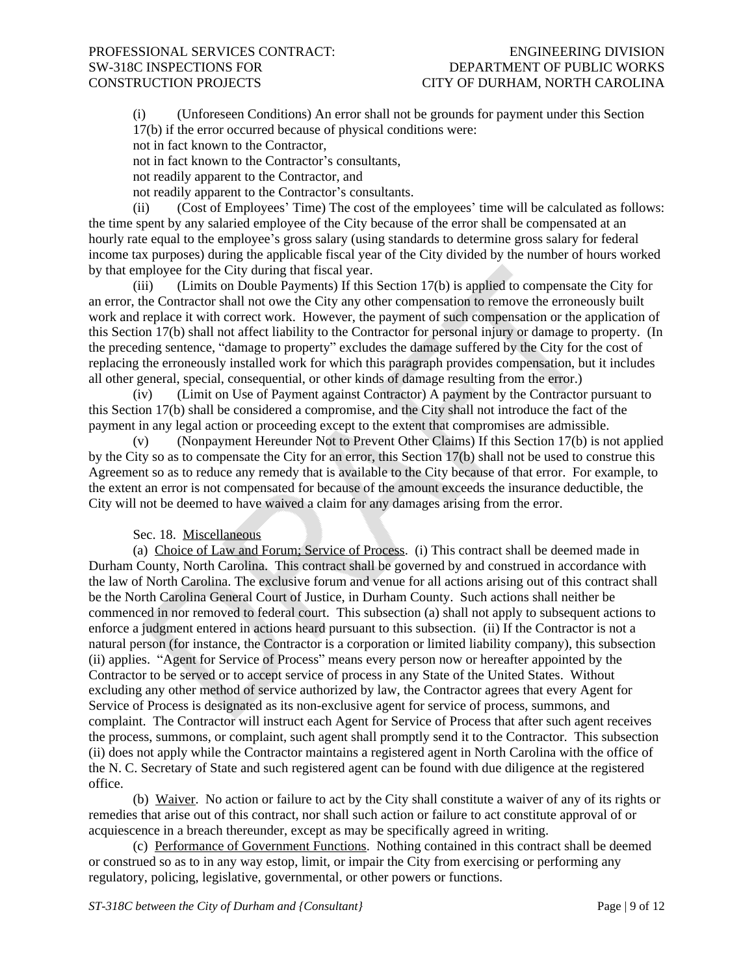(i) (Unforeseen Conditions) An error shall not be grounds for payment under this Section 17(b) if the error occurred because of physical conditions were:

not in fact known to the Contractor,

not in fact known to the Contractor's consultants,

not readily apparent to the Contractor, and

not readily apparent to the Contractor's consultants.

(ii) (Cost of Employees' Time) The cost of the employees' time will be calculated as follows: the time spent by any salaried employee of the City because of the error shall be compensated at an hourly rate equal to the employee's gross salary (using standards to determine gross salary for federal income tax purposes) during the applicable fiscal year of the City divided by the number of hours worked by that employee for the City during that fiscal year.

(iii) (Limits on Double Payments) If this Section 17(b) is applied to compensate the City for an error, the Contractor shall not owe the City any other compensation to remove the erroneously built work and replace it with correct work. However, the payment of such compensation or the application of this Section 17(b) shall not affect liability to the Contractor for personal injury or damage to property. (In the preceding sentence, "damage to property" excludes the damage suffered by the City for the cost of replacing the erroneously installed work for which this paragraph provides compensation, but it includes all other general, special, consequential, or other kinds of damage resulting from the error.)

(iv) (Limit on Use of Payment against Contractor) A payment by the Contractor pursuant to this Section 17(b) shall be considered a compromise, and the City shall not introduce the fact of the payment in any legal action or proceeding except to the extent that compromises are admissible.

(v) (Nonpayment Hereunder Not to Prevent Other Claims) If this Section 17(b) is not applied by the City so as to compensate the City for an error, this Section 17(b) shall not be used to construe this Agreement so as to reduce any remedy that is available to the City because of that error. For example, to the extent an error is not compensated for because of the amount exceeds the insurance deductible, the City will not be deemed to have waived a claim for any damages arising from the error.

### Sec. 18. Miscellaneous

(a) Choice of Law and Forum; Service of Process. (i) This contract shall be deemed made in Durham County, North Carolina. This contract shall be governed by and construed in accordance with the law of North Carolina. The exclusive forum and venue for all actions arising out of this contract shall be the North Carolina General Court of Justice, in Durham County. Such actions shall neither be commenced in nor removed to federal court. This subsection (a) shall not apply to subsequent actions to enforce a judgment entered in actions heard pursuant to this subsection. (ii) If the Contractor is not a natural person (for instance, the Contractor is a corporation or limited liability company), this subsection (ii) applies. "Agent for Service of Process" means every person now or hereafter appointed by the Contractor to be served or to accept service of process in any State of the United States. Without excluding any other method of service authorized by law, the Contractor agrees that every Agent for Service of Process is designated as its non-exclusive agent for service of process, summons, and complaint. The Contractor will instruct each Agent for Service of Process that after such agent receives the process, summons, or complaint, such agent shall promptly send it to the Contractor. This subsection (ii) does not apply while the Contractor maintains a registered agent in North Carolina with the office of the N. C. Secretary of State and such registered agent can be found with due diligence at the registered office.

(b) Waiver. No action or failure to act by the City shall constitute a waiver of any of its rights or remedies that arise out of this contract, nor shall such action or failure to act constitute approval of or acquiescence in a breach thereunder, except as may be specifically agreed in writing.

(c) Performance of Government Functions. Nothing contained in this contract shall be deemed or construed so as to in any way estop, limit, or impair the City from exercising or performing any regulatory, policing, legislative, governmental, or other powers or functions.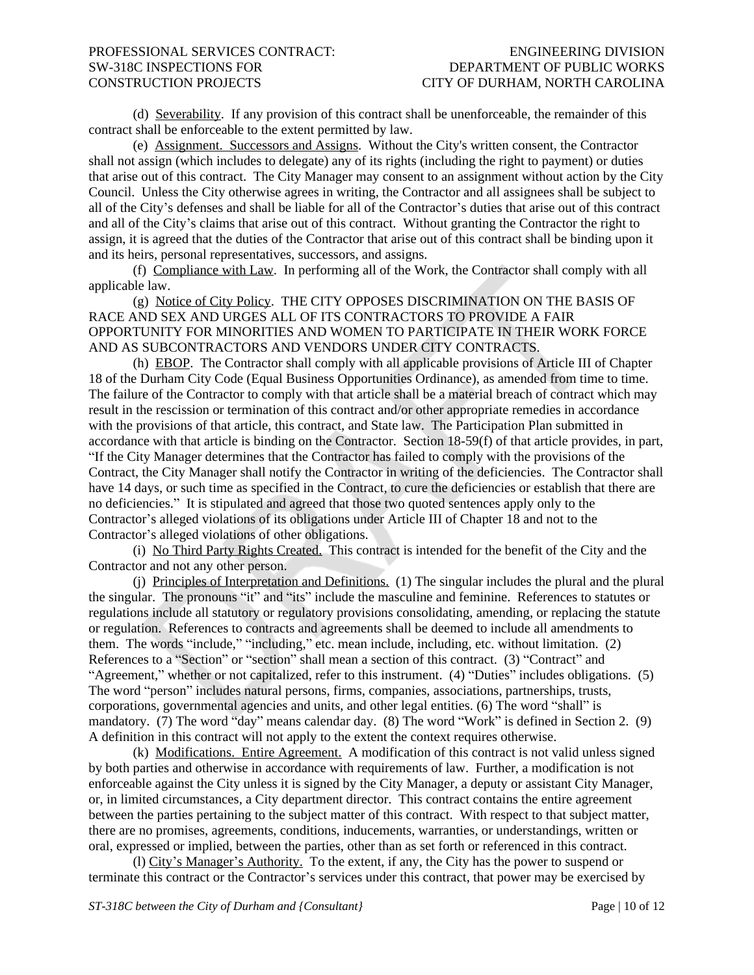(d) Severability. If any provision of this contract shall be unenforceable, the remainder of this contract shall be enforceable to the extent permitted by law.

(e) Assignment. Successors and Assigns. Without the City's written consent, the Contractor shall not assign (which includes to delegate) any of its rights (including the right to payment) or duties that arise out of this contract. The City Manager may consent to an assignment without action by the City Council. Unless the City otherwise agrees in writing, the Contractor and all assignees shall be subject to all of the City's defenses and shall be liable for all of the Contractor's duties that arise out of this contract and all of the City's claims that arise out of this contract. Without granting the Contractor the right to assign, it is agreed that the duties of the Contractor that arise out of this contract shall be binding upon it and its heirs, personal representatives, successors, and assigns.

(f) Compliance with Law. In performing all of the Work, the Contractor shall comply with all applicable law.

(g) Notice of City Policy. THE CITY OPPOSES DISCRIMINATION ON THE BASIS OF RACE AND SEX AND URGES ALL OF ITS CONTRACTORS TO PROVIDE A FAIR OPPORTUNITY FOR MINORITIES AND WOMEN TO PARTICIPATE IN THEIR WORK FORCE AND AS SUBCONTRACTORS AND VENDORS UNDER CITY CONTRACTS.

(h) EBOP. The Contractor shall comply with all applicable provisions of Article III of Chapter 18 of the Durham City Code (Equal Business Opportunities Ordinance), as amended from time to time. The failure of the Contractor to comply with that article shall be a material breach of contract which may result in the rescission or termination of this contract and/or other appropriate remedies in accordance with the provisions of that article, this contract, and State law. The Participation Plan submitted in accordance with that article is binding on the Contractor. Section 18-59(f) of that article provides, in part, "If the City Manager determines that the Contractor has failed to comply with the provisions of the Contract, the City Manager shall notify the Contractor in writing of the deficiencies. The Contractor shall have 14 days, or such time as specified in the Contract, to cure the deficiencies or establish that there are no deficiencies." It is stipulated and agreed that those two quoted sentences apply only to the Contractor's alleged violations of its obligations under Article III of Chapter 18 and not to the Contractor's alleged violations of other obligations.

(i) No Third Party Rights Created. This contract is intended for the benefit of the City and the Contractor and not any other person.

(j) Principles of Interpretation and Definitions. (1) The singular includes the plural and the plural the singular. The pronouns "it" and "its" include the masculine and feminine. References to statutes or regulations include all statutory or regulatory provisions consolidating, amending, or replacing the statute or regulation. References to contracts and agreements shall be deemed to include all amendments to them. The words "include," "including," etc. mean include, including, etc. without limitation. (2) References to a "Section" or "section" shall mean a section of this contract. (3) "Contract" and "Agreement," whether or not capitalized, refer to this instrument. (4) "Duties" includes obligations. (5) The word "person" includes natural persons, firms, companies, associations, partnerships, trusts, corporations, governmental agencies and units, and other legal entities. (6) The word "shall" is mandatory. (7) The word "day" means calendar day. (8) The word "Work" is defined in Section 2. (9) A definition in this contract will not apply to the extent the context requires otherwise.

(k) Modifications. Entire Agreement. A modification of this contract is not valid unless signed by both parties and otherwise in accordance with requirements of law. Further, a modification is not enforceable against the City unless it is signed by the City Manager, a deputy or assistant City Manager, or, in limited circumstances, a City department director. This contract contains the entire agreement between the parties pertaining to the subject matter of this contract. With respect to that subject matter, there are no promises, agreements, conditions, inducements, warranties, or understandings, written or oral, expressed or implied, between the parties, other than as set forth or referenced in this contract.

(l) City's Manager's Authority. To the extent, if any, the City has the power to suspend or terminate this contract or the Contractor's services under this contract, that power may be exercised by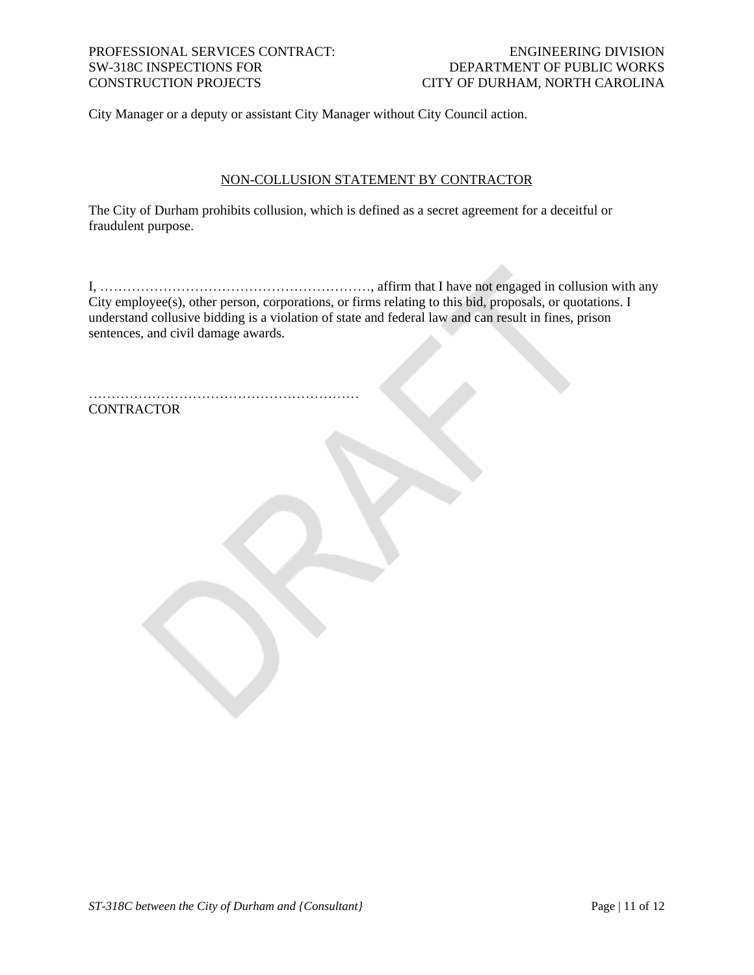# CONSTRUCTION PROJECTS CITY OF DURHAM, NORTH CAROLINA

## PROFESSIONAL SERVICES CONTRACT: ENGINEERING DIVISION ENGINEERING DIVISION SW-318C INSPECTIONS FOR DEPARTMENT OF PUBLIC WORKS

City Manager or a deputy or assistant City Manager without City Council action.

### NON-COLLUSION STATEMENT BY CONTRACTOR

The City of Durham prohibits collusion, which is defined as a secret agreement for a deceitful or fraudulent purpose.

I, ……………………………………………………, affirm that I have not engaged in collusion with any City employee(s), other person, corporations, or firms relating to this bid, proposals, or quotations. I understand collusive bidding is a violation of state and federal law and can result in fines, prison sentences, and civil damage awards.

…………………………………………………… **CONTRACTOR**